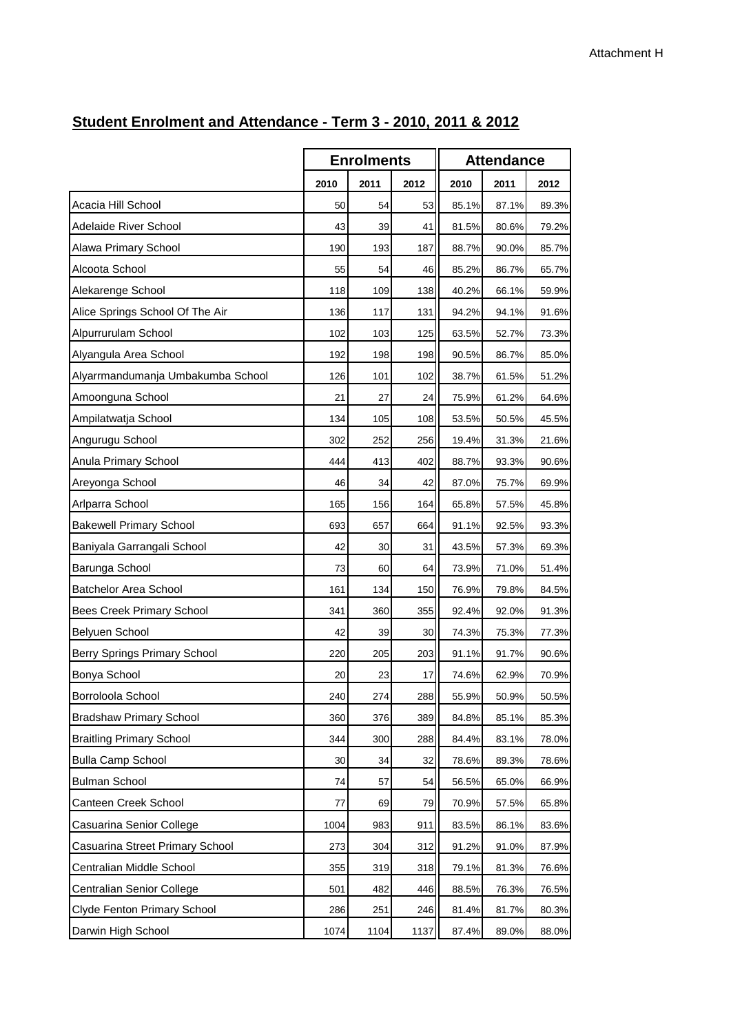## **2010 2011 2012 2010 2011 2012** Acacia Hill School 50 54 53 Acacia Hill School 85.1% 87.1% 89.3% Adelaide River School 43 39 41 Adelaide River School 81.5% 80.6% 79.2% Alawa Primary School 190 193 187 Alawa Primary School 88.7% 90.0% 85.7% Alcoota School 55 54 46 Alcoota School 85.2% 86.7% 65.7% Alekarenge School 118 109 138 Alekarenge School 40.2% 66.1% 59.9% Alice Springs School Of The Air 136 | 136 | 117 | 131 | 94.2% 94.1% 91.6% Alpurrurulam School 102 103 125 Alpurrurulam School 63.5% 52.7% 73.3% Alyangula Area School 192 | 192 | 198 | 198 | 90.5% 86.7% 85.0% Alyarrmandumanja Umbakumba School  $\begin{vmatrix} 1 & 126 & 101 & 102 & 38.7\% & 61.5\% & 51.2\% \end{vmatrix}$ Amoonguna School 21 21 27 24 75.9% 61.2% 64.6% Ampilatwatja School 134 105 108 Ampilatwatja School 53.5% 50.5% 45.5% Angurugu School 302 252 256 Angurugu School 19.4% 31.3% 21.6% Anula Primary School 444 413 402 Anula Primary School 88.7% 93.3% 90.6% Areyonga School 46 34 42 Areyonga School 87.0% 75.7% 69.9% Arlparra School 165 156 164 Arlparra School 65.8% 57.5% 45.8% Bakewell Primary School **693** 657 664 91.1% 92.5% 93.3% Baniyala Garrangali School 42 30 31 Baniyala Garrangali School 43.5% 57.3% 69.3% Barunga School 73 60 64 Barunga School 73.9% 71.0% 51.4% Batchelor Area School 161 161 134 150 Batchelor Area School 26.9% 79.8% 84.5% Bees Creek Primary School 2000 1341 360 355 92.4% 92.0% 91.3% Belyuen School 42 39 30 Belyuen School 74.3% 75.3% 77.3% Berry Springs Primary School 220 205 203 Berry Springs Primary School 91.1% 91.7% 90.6% Bonya School 20 23 17 Bonya School 74.6% 62.9% 70.9% Borroloola School 240 274 288 Borroloola School 55.9% 50.9% 50.5% Bradshaw Primary School 360 376 389 Bradshaw Primary School 84.8% 85.1% 85.3% Braitling Primary School 344 300 288 Braitling Primary School 84.4% 83.1% 78.0% Bulla Camp School 30 34 32 Bulla Camp School 78.6% 89.3% 78.6% Bulman School 74 57 54 Bulman School 56.5% 65.0% 66.9% Canteen Creek School 77 69 79 Canteen Creek School 70.9% 57.5% 65.8% Casuarina Senior College 1004 | 1004 983 911 83.5% 86.1% 83.6% Casuarina Street Primary School | 273 304 312 91.2% 91.0% 87.9% Centralian Middle School 355 319 318 Centralian Middle School 79.1% 81.3% 76.6% Centralian Senior College  $\begin{array}{ccc} | & 501 & 482 & 446 \end{array}$  88.5% 76.3% 76.5% Clyde Fenton Primary School 286 251 246 Clyde Fenton Primary School 81.4% 81.7% 80.3% Darwin High School 1074 1104 1104 1137 87.4% 89.0% 88.0% **Enrolments Attendance**

## **Student Enrolment and Attendance - Term 3 - 2010, 2011 & 2012**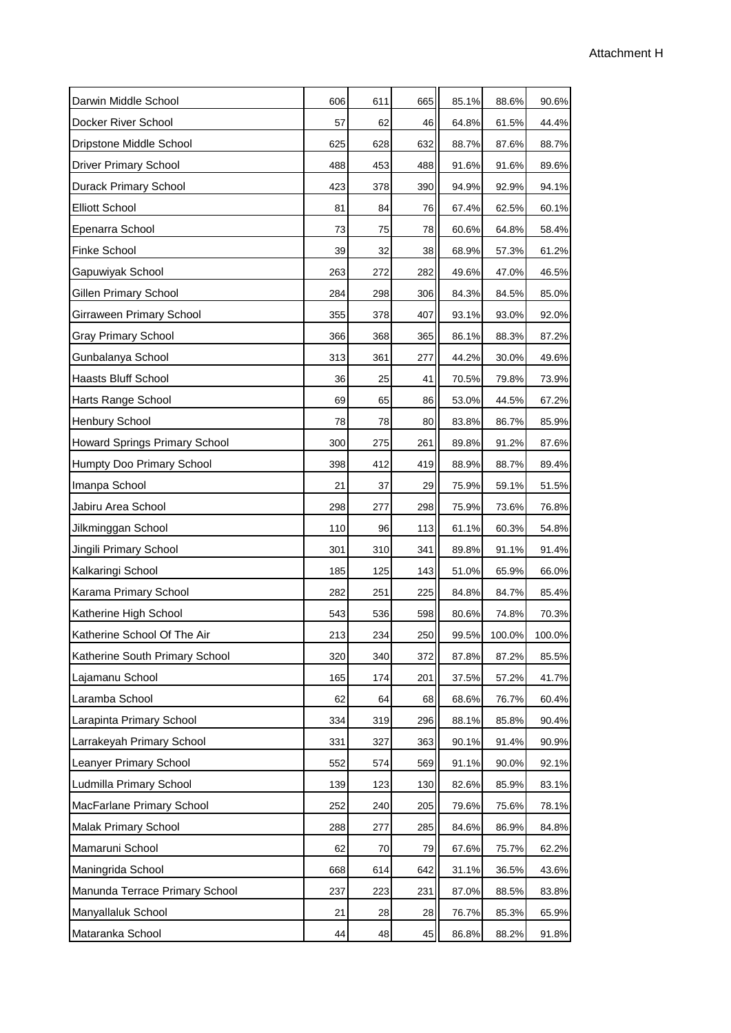| Darwin Middle School           | 606 | 611 | 665 | 85.1% | 88.6%  | 90.6%  |  |
|--------------------------------|-----|-----|-----|-------|--------|--------|--|
| Docker River School            | 57  | 62  | 46  | 64.8% | 61.5%  | 44.4%  |  |
| Dripstone Middle School        | 625 | 628 | 632 | 88.7% | 87.6%  | 88.7%  |  |
| <b>Driver Primary School</b>   | 488 | 453 | 488 | 91.6% | 91.6%  | 89.6%  |  |
| <b>Durack Primary School</b>   | 423 | 378 | 390 | 94.9% | 92.9%  | 94.1%  |  |
| <b>Elliott School</b>          | 81  | 84  | 76  | 67.4% | 62.5%  | 60.1%  |  |
| Epenarra School                | 73  | 75  | 78  | 60.6% | 64.8%  | 58.4%  |  |
| Finke School                   | 39  | 32  | 38  | 68.9% | 57.3%  | 61.2%  |  |
| Gapuwiyak School               | 263 | 272 | 282 | 49.6% | 47.0%  | 46.5%  |  |
| Gillen Primary School          | 284 | 298 | 306 | 84.3% | 84.5%  | 85.0%  |  |
| Girraween Primary School       | 355 | 378 | 407 | 93.1% | 93.0%  | 92.0%  |  |
| <b>Gray Primary School</b>     | 366 | 368 | 365 | 86.1% | 88.3%  | 87.2%  |  |
| Gunbalanya School              | 313 | 361 | 277 | 44.2% | 30.0%  | 49.6%  |  |
| <b>Haasts Bluff School</b>     | 36  | 25  | 41  | 70.5% | 79.8%  | 73.9%  |  |
| Harts Range School             | 69  | 65  | 86  | 53.0% | 44.5%  | 67.2%  |  |
| <b>Henbury School</b>          | 78  | 78  | 80  | 83.8% | 86.7%  | 85.9%  |  |
| Howard Springs Primary School  | 300 | 275 | 261 | 89.8% | 91.2%  | 87.6%  |  |
| Humpty Doo Primary School      | 398 | 412 | 419 | 88.9% | 88.7%  | 89.4%  |  |
| Imanpa School                  | 21  | 37  | 29  | 75.9% | 59.1%  | 51.5%  |  |
| Jabiru Area School             | 298 | 277 | 298 | 75.9% | 73.6%  | 76.8%  |  |
| Jilkminggan School             | 110 | 96  | 113 | 61.1% | 60.3%  | 54.8%  |  |
| Jingili Primary School         | 301 | 310 | 341 | 89.8% | 91.1%  | 91.4%  |  |
| Kalkaringi School              | 185 | 125 | 143 | 51.0% | 65.9%  | 66.0%  |  |
| Karama Primary School          | 282 | 251 | 225 | 84.8% | 84.7%  | 85.4%  |  |
| Katherine High School          | 543 | 536 | 598 | 80.6% | 74.8%  | 70.3%  |  |
| Katherine School Of The Air    | 213 | 234 | 250 | 99.5% | 100.0% | 100.0% |  |
| Katherine South Primary School | 320 | 340 | 372 | 87.8% | 87.2%  | 85.5%  |  |
| Lajamanu School                | 165 | 174 | 201 | 37.5% | 57.2%  | 41.7%  |  |
| Laramba School                 | 62  | 64  | 68  | 68.6% | 76.7%  | 60.4%  |  |
| Larapinta Primary School       | 334 | 319 | 296 | 88.1% | 85.8%  | 90.4%  |  |
| Larrakeyah Primary School      | 331 | 327 | 363 | 90.1% | 91.4%  | 90.9%  |  |
| Leanyer Primary School         | 552 | 574 | 569 | 91.1% | 90.0%  | 92.1%  |  |
| Ludmilla Primary School        | 139 | 123 | 130 | 82.6% | 85.9%  | 83.1%  |  |
| MacFarlane Primary School      | 252 | 240 | 205 | 79.6% | 75.6%  | 78.1%  |  |
| Malak Primary School           | 288 | 277 | 285 | 84.6% | 86.9%  | 84.8%  |  |
| Mamaruni School                | 62  | 70  | 79  | 67.6% | 75.7%  | 62.2%  |  |
| Maningrida School              | 668 | 614 | 642 | 31.1% | 36.5%  | 43.6%  |  |
| Manunda Terrace Primary School | 237 | 223 | 231 | 87.0% | 88.5%  | 83.8%  |  |
| Manyallaluk School             | 21  | 28  | 28  | 76.7% | 85.3%  | 65.9%  |  |
| Mataranka School               | 44  | 48  | 45  | 86.8% | 88.2%  | 91.8%  |  |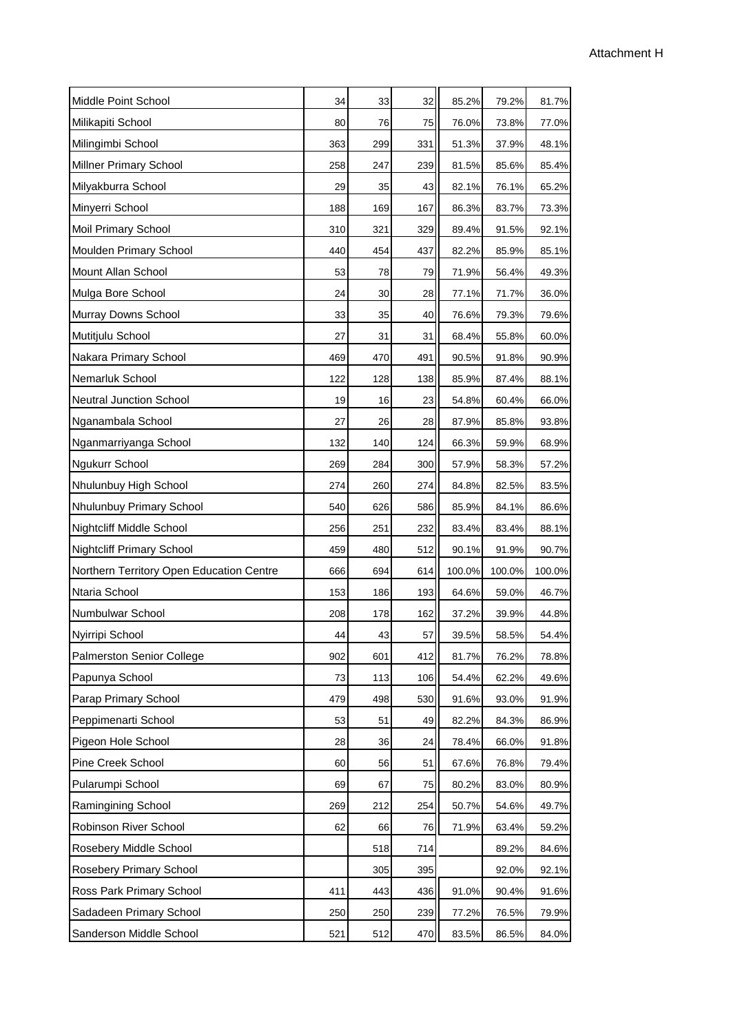| Middle Point School                      | 34  | 33  | 32  | 85.2%  | 79.2%  | 81.7%  |
|------------------------------------------|-----|-----|-----|--------|--------|--------|
| Milikapiti School                        | 80  | 76  | 75  | 76.0%  | 73.8%  | 77.0%  |
| Milingimbi School                        | 363 | 299 | 331 | 51.3%  | 37.9%  | 48.1%  |
| <b>Millner Primary School</b>            | 258 | 247 | 239 | 81.5%  | 85.6%  | 85.4%  |
| Milyakburra School                       | 29  | 35  | 43  | 82.1%  | 76.1%  | 65.2%  |
| Minyerri School                          | 188 | 169 | 167 | 86.3%  | 83.7%  | 73.3%  |
| Moil Primary School                      | 310 | 321 | 329 | 89.4%  | 91.5%  | 92.1%  |
| Moulden Primary School                   | 440 | 454 | 437 | 82.2%  | 85.9%  | 85.1%  |
| Mount Allan School                       | 53  | 78  | 79  | 71.9%  | 56.4%  | 49.3%  |
| Mulga Bore School                        | 24  | 30  | 28  | 77.1%  | 71.7%  | 36.0%  |
| Murray Downs School                      | 33  | 35  | 40  | 76.6%  | 79.3%  | 79.6%  |
| Mutitjulu School                         | 27  | 31  | 31  | 68.4%  | 55.8%  | 60.0%  |
| Nakara Primary School                    | 469 | 470 | 491 | 90.5%  | 91.8%  | 90.9%  |
| Nemarluk School                          | 122 | 128 | 138 | 85.9%  | 87.4%  | 88.1%  |
| <b>Neutral Junction School</b>           | 19  | 16  | 23  | 54.8%  | 60.4%  | 66.0%  |
| Nganambala School                        | 27  | 26  | 28  | 87.9%  | 85.8%  | 93.8%  |
| Nganmarriyanga School                    | 132 | 140 | 124 | 66.3%  | 59.9%  | 68.9%  |
| <b>Ngukurr School</b>                    | 269 | 284 | 300 | 57.9%  | 58.3%  | 57.2%  |
| Nhulunbuy High School                    | 274 | 260 | 274 | 84.8%  | 82.5%  | 83.5%  |
| Nhulunbuy Primary School                 | 540 | 626 | 586 | 85.9%  | 84.1%  | 86.6%  |
| Nightcliff Middle School                 | 256 | 251 | 232 | 83.4%  | 83.4%  | 88.1%  |
| <b>Nightcliff Primary School</b>         | 459 | 480 | 512 | 90.1%  | 91.9%  | 90.7%  |
| Northern Territory Open Education Centre | 666 | 694 | 614 | 100.0% | 100.0% | 100.0% |
| Ntaria School                            | 153 | 186 | 193 | 64.6%  | 59.0%  | 46.7%  |
| Numbulwar School                         | 208 | 178 | 162 | 37.2%  | 39.9%  | 44.8%  |
| Nyirripi School                          | 44  | 43  | 57  | 39.5%  | 58.5%  | 54.4%  |
| <b>Palmerston Senior College</b>         | 902 | 601 | 412 | 81.7%  | 76.2%  | 78.8%  |
| Papunya School                           | 73  | 113 | 106 | 54.4%  | 62.2%  | 49.6%  |
| Parap Primary School                     | 479 | 498 | 530 | 91.6%  | 93.0%  | 91.9%  |
| Peppimenarti School                      | 53  | 51  | 49  | 82.2%  | 84.3%  | 86.9%  |
| Pigeon Hole School                       | 28  | 36  | 24  | 78.4%  | 66.0%  | 91.8%  |
| Pine Creek School                        | 60  | 56  | 51  | 67.6%  | 76.8%  | 79.4%  |
| Pularumpi School                         | 69  | 67  | 75  | 80.2%  | 83.0%  | 80.9%  |
| Ramingining School                       | 269 | 212 | 254 | 50.7%  | 54.6%  | 49.7%  |
| Robinson River School                    | 62  | 66  | 76  | 71.9%  | 63.4%  | 59.2%  |
| Rosebery Middle School                   |     | 518 | 714 |        | 89.2%  | 84.6%  |
| <b>Rosebery Primary School</b>           |     | 305 | 395 |        | 92.0%  | 92.1%  |
| Ross Park Primary School                 | 411 | 443 | 436 | 91.0%  | 90.4%  | 91.6%  |
| Sadadeen Primary School                  | 250 | 250 | 239 | 77.2%  | 76.5%  | 79.9%  |
| Sanderson Middle School                  | 521 | 512 | 470 | 83.5%  | 86.5%  | 84.0%  |